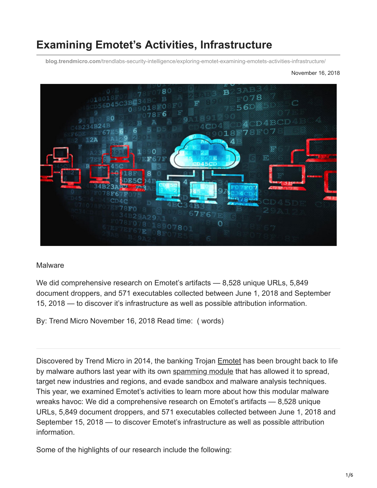# **Examining Emotet's Activities, Infrastructure**

**blog.trendmicro.com**[/trendlabs-security-intelligence/exploring-emotet-examining-emotets-activities-infrastructure/](https://blog.trendmicro.com/trendlabs-security-intelligence/exploring-emotet-examining-emotets-activities-infrastructure/)

November 16, 2018



#### **Malware**

We did comprehensive research on Emotet's artifacts — 8,528 unique URLs, 5,849 document droppers, and 571 executables collected between June 1, 2018 and September 15, 2018 — to discover it's infrastructure as well as possible attribution information.

By: Trend Micro November 16, 2018 Read time: ( words)

Discovered by Trend Micro in 2014, the banking Trojan [Emotet](https://blog.trendmicro.com/trendlabs-security-intelligence/new-banking-malware-uses-network-sniffing-for-data-theft/) has been brought back to life by malware authors last year with its own [spamming module](https://blog.trendmicro.com/trendlabs-security-intelligence/emotet-returns-starts-spreading-via-spam-botnet/) that has allowed it to spread, target new industries and regions, and evade sandbox and malware analysis techniques. This year, we examined Emotet's activities to learn more about how this modular malware wreaks havoc: We did a comprehensive research on Emotet's artifacts — 8,528 unique URLs, 5,849 document droppers, and 571 executables collected between June 1, 2018 and September 15, 2018 — to discover Emotet's infrastructure as well as possible attribution information.

Some of the highlights of our research include the following: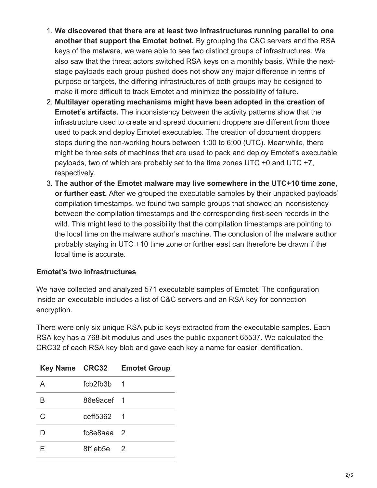- 1. **We discovered that there are at least two infrastructures running parallel to one another that support the Emotet botnet.** By grouping the C&C servers and the RSA keys of the malware, we were able to see two distinct groups of infrastructures. We also saw that the threat actors switched RSA keys on a monthly basis. While the nextstage payloads each group pushed does not show any major difference in terms of purpose or targets, the differing infrastructures of both groups may be designed to make it more difficult to track Emotet and minimize the possibility of failure.
- 2. **Multilayer operating mechanisms might have been adopted in the creation of Emotet's artifacts.** The inconsistency between the activity patterns show that the infrastructure used to create and spread document droppers are different from those used to pack and deploy Emotet executables. The creation of document droppers stops during the non-working hours between 1:00 to 6:00 (UTC). Meanwhile, there might be three sets of machines that are used to pack and deploy Emotet's executable payloads, two of which are probably set to the time zones UTC +0 and UTC +7, respectively.
- 3. **The author of the Emotet malware may live somewhere in the UTC+10 time zone, or further east.** After we grouped the executable samples by their unpacked payloads' compilation timestamps, we found two sample groups that showed an inconsistency between the compilation timestamps and the corresponding first-seen records in the wild. This might lead to the possibility that the compilation timestamps are pointing to the local time on the malware author's machine. The conclusion of the malware author probably staying in UTC +10 time zone or further east can therefore be drawn if the local time is accurate.

## **Emotet's two infrastructures**

We have collected and analyzed 571 executable samples of Emotet. The configuration inside an executable includes a list of C&C servers and an RSA key for connection encryption.

There were only six unique RSA public keys extracted from the executable samples. Each RSA key has a 768-bit modulus and uses the public exponent 65537. We calculated the CRC32 of each RSA key blob and gave each key a name for easier identification.

|   |              | Key Name CRC32 Emotet Group |
|---|--------------|-----------------------------|
| A | fcb2fb3b 1   |                             |
| B | 86e9acef 1   |                             |
| C | ceff5362 1   |                             |
|   | $fc8e8aaa$ 2 |                             |
|   | 8f1eb5e 2    |                             |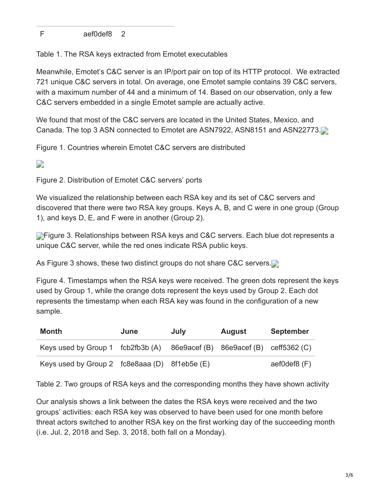F aef0def8 2

Table 1. The RSA keys extracted from Emotet executables

Meanwhile, Emotet's C&C server is an IP/port pair on top of its HTTP protocol. We extracted 721 unique C&C servers in total. On average, one Emotet sample contains 39 C&C servers, with a maximum number of 44 and a minimum of 14. Based on our observation, only a few C&C servers embedded in a single Emotet sample are actually active.

We found that most of the C&C servers are located in the United States, Mexico, and Canada. The top 3 ASN connected to Emotet are ASN7922, ASN8151 and ASN22773.

Figure 1. Countries wherein Emotet C&C servers are distributed

# $\overline{\phantom{a}}$

Figure 2. Distribution of Emotet C&C servers' ports

We visualized the relationship between each RSA key and its set of C&C servers and discovered that there were two RSA key groups. Keys A, B, and C were in one group (Group 1), and keys D, E, and F were in another (Group 2).

**Figure 3. Relationships between RSA keys and C&C servers. Each blue dot represents a** unique C&C server, while the red ones indicate RSA public keys.

As Figure 3 shows, these two distinct groups do not share C&C servers.

Figure 4. Timestamps when the RSA keys were received. The green dots represent the keys used by Group 1, while the orange dots represent the keys used by Group 2. Each dot represents the timestamp when each RSA key was found in the configuration of a new sample.

| Month                                                                    | June | July | <b>August</b> | <b>September</b> |
|--------------------------------------------------------------------------|------|------|---------------|------------------|
| Keys used by Group 1 fcb2fb3b (A) 86e9acef (B) 86e9acef (B) ceff5362 (C) |      |      |               |                  |
| Keys used by Group 2 $fc8e8aa$ (D) $8f1eb5e$ (E)                         |      |      |               | aef0def8 (F)     |

Table 2. Two groups of RSA keys and the corresponding months they have shown activity

Our analysis shows a link between the dates the RSA keys were received and the two groups' activities: each RSA key was observed to have been used for one month before threat actors switched to another RSA key on the first working day of the succeeding month (i.e. Jul. 2, 2018 and Sep. 3, 2018, both fall on a Monday).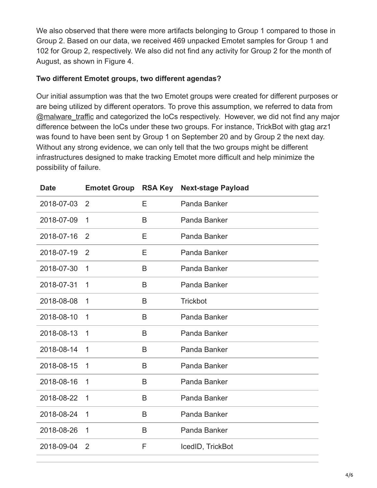We also observed that there were more artifacts belonging to Group 1 compared to those in Group 2. Based on our data, we received 469 unpacked Emotet samples for Group 1 and 102 for Group 2, respectively. We also did not find any activity for Group 2 for the month of August, as shown in Figure 4.

### **Two different Emotet groups, two different agendas?**

Our initial assumption was that the two Emotet groups were created for different purposes or are being utilized by different operators. To prove this assumption, we referred to data from [@malware\\_traffic](https://twitter.com/malware_traffic) and categorized the IoCs respectively. However, we did not find any major difference between the IoCs under these two groups. For instance, TrickBot with gtag arz1 was found to have been sent by Group 1 on September 20 and by Group 2 the next day. Without any strong evidence, we can only tell that the two groups might be different infrastructures designed to make tracking Emotet more difficult and help minimize the possibility of failure.

| <b>Date</b> | <b>Emotet Group</b> | <b>RSA Key</b> | <b>Next-stage Payload</b> |
|-------------|---------------------|----------------|---------------------------|
| 2018-07-03  | 2                   | Ε              | Panda Banker              |
| 2018-07-09  | 1                   | B              | Panda Banker              |
| 2018-07-16  | 2                   | Ε              | Panda Banker              |
| 2018-07-19  | 2                   | Е              | Panda Banker              |
| 2018-07-30  | 1                   | B              | Panda Banker              |
| 2018-07-31  | 1                   | B              | Panda Banker              |
| 2018-08-08  | 1                   | B              | <b>Trickbot</b>           |
| 2018-08-10  | 1                   | B              | Panda Banker              |
| 2018-08-13  | 1                   | B              | Panda Banker              |
| 2018-08-14  | 1                   | B              | Panda Banker              |
| 2018-08-15  | 1                   | B              | Panda Banker              |
| 2018-08-16  | 1                   | B              | Panda Banker              |
| 2018-08-22  | 1                   | B              | Panda Banker              |
| 2018-08-24  | 1                   | B              | Panda Banker              |
| 2018-08-26  | 1                   | B              | Panda Banker              |
| 2018-09-04  | 2                   | F              | IcedID, TrickBot          |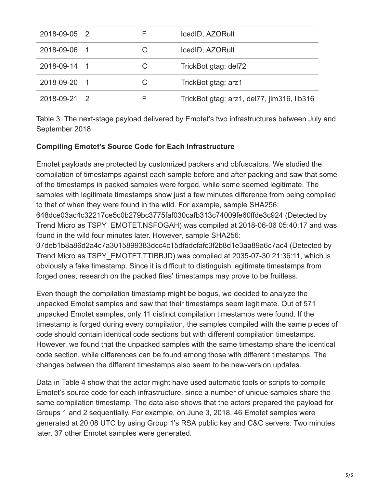| 2018-09-05 2 |   | IcedID, AZORult                            |
|--------------|---|--------------------------------------------|
| 2018-09-06 1 | C | IcedID, AZORult                            |
| 2018-09-14 1 | C | TrickBot gtag: del72                       |
| 2018-09-20 1 | C | TrickBot gtag: arz1                        |
| 2018-09-21 2 |   | TrickBot gtag: arz1, del77, jim316, lib316 |

Table 3. The next-stage payload delivered by Emotet's two infrastructures between July and September 2018

## **Compiling Emotet's Source Code for Each Infrastructure**

Emotet payloads are protected by customized packers and obfuscators. We studied the compilation of timestamps against each sample before and after packing and saw that some of the timestamps in packed samples were forged, while some seemed legitimate. The samples with legitimate timestamps show just a few minutes difference from being compiled to that of when they were found in the wild. For example, sample SHA256: 648dce03ac4c32217ce5c0b279bc3775faf030cafb313c74009fe60ffde3c924 (Detected by Trend Micro as TSPY\_EMOTET.NSFOGAH) was compiled at 2018-06-06 05:40:17 and was found in the wild four minutes later. However, sample SHA256: 07deb1b8a86d2a4c7a3015899383dcc4c15dfadcfafc3f2b8d1e3aa89a6c7ac4 (Detected by

Trend Micro as TSPY\_EMOTET.TTIBBJD) was compiled at 2035-07-30 21:36:11, which is obviously a fake timestamp. Since it is difficult to distinguish legitimate timestamps from forged ones, research on the packed files' timestamps may prove to be fruitless.

Even though the compilation timestamp might be bogus, we decided to analyze the unpacked Emotet samples and saw that their timestamps seem legitimate. Out of 571 unpacked Emotet samples, only 11 distinct compilation timestamps were found. If the timestamp is forged during every compilation, the samples compiled with the same pieces of code should contain identical code sections but with different compilation timestamps. However, we found that the unpacked samples with the same timestamp share the identical code section, while differences can be found among those with different timestamps. The changes between the different timestamps also seem to be new-version updates.

Data in Table 4 show that the actor might have used automatic tools or scripts to compile Emotet's source code for each infrastructure, since a number of unique samples share the same compilation timestamp. The data also shows that the actors prepared the payload for Groups 1 and 2 sequentially. For example, on June 3, 2018, 46 Emotet samples were generated at 20:08 UTC by using Group 1's RSA public key and C&C servers. Two minutes later, 37 other Emotet samples were generated.